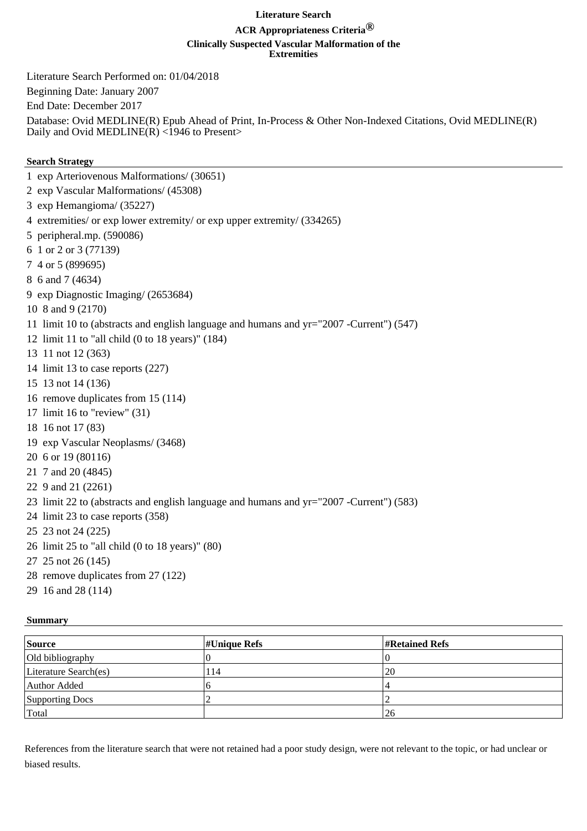## **Literature Search**

## **ACR Appropriateness Criteria® Clinically Suspected Vascular Malformation of the Extremities**

Literature Search Performed on: 01/04/2018

Beginning Date: January 2007

End Date: December 2017

Database: Ovid MEDLINE(R) Epub Ahead of Print, In-Process & Other Non-Indexed Citations, Ovid MEDLINE(R) Daily and Ovid MEDLINE( $\overline{R}$ ) <1946 to Present>

## **Search Strategy**

1 exp Arteriovenous Malformations/ (30651) 2 exp Vascular Malformations/ (45308) 3 exp Hemangioma/ (35227) 4 extremities/ or exp lower extremity/ or exp upper extremity/ (334265) 5 peripheral.mp. (590086) 6 1 or 2 or 3 (77139) 7 4 or 5 (899695) 8 6 and 7 (4634) 9 exp Diagnostic Imaging/ (2653684) 10 8 and 9 (2170) 11 limit 10 to (abstracts and english language and humans and yr="2007 -Current") (547) 12 limit 11 to "all child (0 to 18 years)" (184) 13 11 not 12 (363) 14 limit 13 to case reports (227) 15 13 not 14 (136) 16 remove duplicates from 15 (114) 17 limit 16 to "review" (31) 18 16 not 17 (83) 19 exp Vascular Neoplasms/ (3468) 20 6 or 19 (80116) 21 7 and 20 (4845) 22 9 and 21 (2261) 23 limit 22 to (abstracts and english language and humans and yr="2007 -Current") (583) 24 limit 23 to case reports (358) 25 23 not 24 (225) 26 limit 25 to "all child (0 to 18 years)" (80) 27 25 not 26 (145)

- 28 remove duplicates from 27 (122)
- 29 16 and 28 (114)

## **Summary**

| <b>Source</b>         | $\sharp$ Unique Refs | $\sharp$ Retained Refs |
|-----------------------|----------------------|------------------------|
| Old bibliography      |                      |                        |
| Literature Search(es) | l 14                 | <b>20</b>              |
| Author Added          |                      |                        |
| Supporting Docs       |                      |                        |
| Total                 |                      | 126                    |

References from the literature search that were not retained had a poor study design, were not relevant to the topic, or had unclear or biased results.